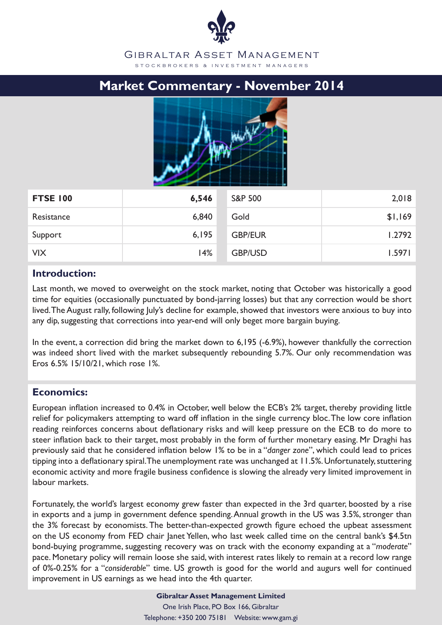## **Market Commentary - November 2014**



| <b>FTSE 100</b> | 6,546 | <b>S&amp;P 500</b> | 2,018   |
|-----------------|-------|--------------------|---------|
| Resistance      | 6,840 | Gold               | \$1,169 |
| Support         | 6,195 | <b>GBP/EUR</b>     | 1.2792  |
| <b>VIX</b>      | 14%   | <b>GBP/USD</b>     | 1.5971  |

### **Introduction:**

Last month, we moved to overweight on the stock market, noting that October was historically a good time for equities (occasionally punctuated by bond-jarring losses) but that any correction would be short lived. The August rally, following July's decline for example, showed that investors were anxious to buy into any dip, suggesting that corrections into year-end will only beget more bargain buying.

In the event, a correction did bring the market down to 6,195 (-6.9%), however thankfully the correction was indeed short lived with the market subsequently rebounding 5.7%. Our only recommendation was Eros 6.5% 15/10/21, which rose 1%.

## **Economics:**

European inflation increased to 0.4% in October, well below the ECB's 2% target, thereby providing little relief for policymakers attempting to ward off inflation in the single currency bloc. The low core inflation reading reinforces concerns about deflationary risks and will keep pressure on the ECB to do more to steer inflation back to their target, most probably in the form of further monetary easing. Mr Draghi has previously said that he considered inflation below 1% to be in a "*danger zone*", which could lead to prices tipping into a deflationary spiral. The unemployment rate was unchanged at 11.5%. Unfortunately, stuttering economic activity and more fragile business confidence is slowing the already very limited improvement in labour markets.

Fortunately, the world's largest economy grew faster than expected in the 3rd quarter, boosted by a rise in exports and a jump in government defence spending. Annual growth in the US was 3.5%, stronger than the 3% forecast by economists. The better-than-expected growth figure echoed the upbeat assessment on the US economy from FED chair Janet Yellen, who last week called time on the central bank's \$4.5tn bond-buying programme, suggesting recovery was on track with the economy expanding at a "*moderate*" pace. Monetary policy will remain loose she said, with interest rates likely to remain at a record low range of 0%-0.25% for a "*considerable*" time. US growth is good for the world and augurs well for continued improvement in US earnings as we head into the 4th quarter.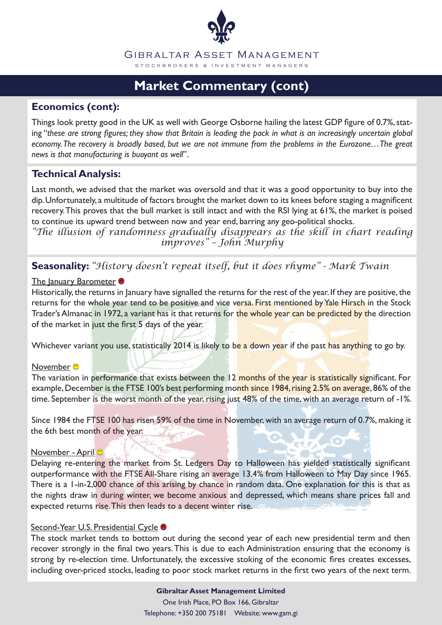

# **Market Commentary (cont)**

## **Economics (cont):**

Things look pretty good in the UK as well with George Osborne hailing the latest GDP figure of 0.7%, stating "*these are strong figures; they show that Britain is leading the pack in what is an increasingly uncertain global economy. The recovery is broadly based, but we are not immune from the problems in the Eurozone…The great news is that manufacturing is buoyant as well*".

## **Technical Analysis:**

Last month, we advised that the market was oversold and that it was a good opportunity to buy into the dip. Unfortunately, a multitude of factors brought the market down to its knees before staging a magnificent recovery. This proves that the bull market is still intact and with the RSI lying at 61%, the market is poised to continue its upward trend between now and year end, barring any geo-political shocks.

*"The illusion of randomness gradually disappears as the skill in chart reading improves" – John Murphy*

**Seasonality:** *"History doesn't repeat itself, but it does rhyme" - Mark Twain*

### The January Barometer

Historically, the returns in January have signalled the returns for the rest of the year. If they are positive, the returns for the whole year tend to be positive and vice versa. First mentioned by Yale Hirsch in the Stock Trader's Almanac in 1972, a variant has it that returns for the whole year can be predicted by the direction of the market in just the first 5 days of the year.

Whichever variant you use, statistically 2014 is likely to be a down year if the past has anything to go by.

### November <sup>®</sup>

The variation in performance that exists between the 12 months of the year is statistically significant. For example, December is the FTSE 100's best performing month since 1984, rising 2.5% on average, 86% of the time. September is the worst month of the year, rising just 48% of the time, with an average return of -1%.

Since 1984 the FTSE 100 has risen 59% of the time in November, with an average return of 0.7%, making it the 6th best month of the year.

### November - April

Delaying re-entering the market from St. Ledgers Day to Halloween has yielded statistically significant outperformance with the FTSE All-Share rising an average 13.4% from Halloween to May Day since 1965. There is a 1-in-2,000 chance of this arising by chance in random data. One explanation for this is that as the nights draw in during winter, we become anxious and depressed, which means share prices fall and expected returns rise. This then leads to a decent winter rise.

### Second-Year U.S. Presidential Cycle <sup>®</sup>

The stock market tends to bottom out during the second year of each new presidential term and then recover strongly in the final two years. This is due to each Administration ensuring that the economy is strong by re-election time. Unfortunately, the excessive stoking of the economic fires creates excesses, including over-priced stocks, leading to poor stock market returns in the first two years of the next term.

> **Gibraltar Asset Management Limited** One Irish Place, PO Box 166, Gibraltar Telephone: +350 200 75181 Website: www.gam.gi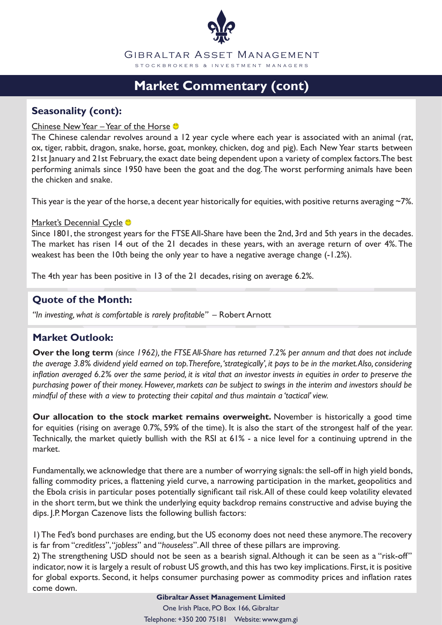

# **Market Commentary (cont)**

## **Seasonality (cont):**

### Chinese New Year – Year of the Horse

The Chinese calendar revolves around a 12 year cycle where each year is associated with an animal (rat, ox, tiger, rabbit, dragon, snake, horse, goat, monkey, chicken, dog and pig). Each New Year starts between 21st January and 21st February, the exact date being dependent upon a variety of complex factors. The best performing animals since 1950 have been the goat and the dog. The worst performing animals have been the chicken and snake.

This year is the year of the horse, a decent year historically for equities, with positive returns averaging  $-7\%$ .

#### Market's Decennial Cycle <sup>®</sup>

Since 1801, the strongest years for the FTSE All-Share have been the 2nd, 3rd and 5th years in the decades. The market has risen 14 out of the 21 decades in these years, with an average return of over 4%. The weakest has been the 10th being the only year to have a negative average change (-1.2%).

The 4th year has been positive in 13 of the 21 decades, rising on average 6.2%.

## **Quote of the Month:**

*"In investing, what is comfortable is rarely profitable" –* Robert Arnott

### **Market Outlook:**

**Over the long term** *(since 1962), the FTSE All-Share has returned 7.2% per annum and that does not include the average 3.8% dividend yield earned on top. Therefore, 'strategically', it pays to be in the market. Also, considering inflation averaged 6.2% over the same period, it is vital that an investor invests in equities in order to preserve the purchasing power of their money. However, markets can be subject to swings in the interim and investors should be mindful of these with a view to protecting their capital and thus maintain a 'tactical' view.* 

**Our allocation to the stock market remains overweight.** November is historically a good time for equities (rising on average 0.7%, 59% of the time). It is also the start of the strongest half of the year. Technically, the market quietly bullish with the RSI at 61% - a nice level for a continuing uptrend in the market.

Fundamentally, we acknowledge that there are a number of worrying signals: the sell-off in high yield bonds, falling commodity prices, a flattening yield curve, a narrowing participation in the market, geopolitics and the Ebola crisis in particular poses potentially significant tail risk. All of these could keep volatility elevated in the short term, but we think the underlying equity backdrop remains constructive and advise buying the dips. J.P. Morgan Cazenove lists the following bullish factors:

1) The Fed's bond purchases are ending, but the US economy does not need these anymore. The recovery is far from "*creditless*", "*jobless*" and "*houseless*". All three of these pillars are improving.

2) The strengthening USD should not be seen as a bearish signal. Although it can be seen as a "risk-off" indicator, now it is largely a result of robust US growth, and this has two key implications. First, it is positive for global exports. Second, it helps consumer purchasing power as commodity prices and inflation rates come down.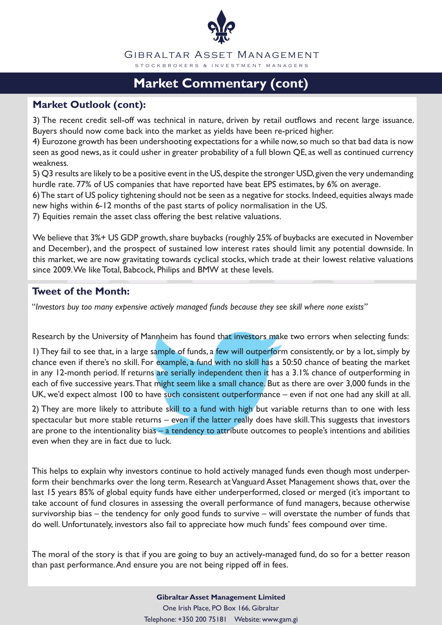

# **Market Commentary (cont)**

## **Market Outlook (cont):**

3) The recent credit sell-off was technical in nature, driven by retail outflows and recent large issuance. Buyers should now come back into the market as yields have been re-priced higher.

4) Eurozone growth has been undershooting expectations for a while now, so much so that bad data is now seen as good news, as it could usher in greater probability of a full blown QE, as well as continued currency weakness.

5) Q3 results are likely to be a positive event in the US, despite the stronger USD, given the very undemanding hurdle rate. 77% of US companies that have reported have beat EPS estimates, by 6% on average.

6) The start of US policy tightening should not be seen as a negative for stocks. Indeed, equities always made new highs within 6-12 months of the past starts of policy normalisation in the US.

7) Equities remain the asset class offering the best relative valuations.

We believe that 3%+ US GDP growth, share buybacks (roughly 25% of buybacks are executed in November and December), and the prospect of sustained low interest rates should limit any potential downside. In this market, we are now gravitating towards cyclical stocks, which trade at their lowest relative valuations since 2009. We like Total, Babcock, Philips and BMW at these levels.

## **Tweet of the Month:**

"*Investors buy too many expensive actively managed funds because they see skill where none exists"*

Research by the University of Mannheim has found that investors make two errors when selecting funds:

1) They fail to see that, in a large sample of funds, a few will outperform consistently, or by a lot, simply by chance even if there's no skill. For example, a fund with no skill has a 50:50 chance of beating the market in any 12-month period. If returns are serially independent then it has a 3.1% chance of outperforming in each of five successive years. That might seem like a small chance. But as there are over 3,000 funds in the UK, we'd expect almost 100 to have such consistent outperformance – even if not one had any skill at all.

2) They are more likely to attribute skill to a fund with high but variable returns than to one with less spectacular but more stable returns – even if the latter really does have skill. This suggests that investors are prone to the intentionality bias – a tendency to attribute outcomes to people's intentions and abilities even when they are in fact due to luck.

This helps to explain why investors continue to hold actively managed funds even though most underperform their benchmarks over the long term. Research at Vanguard Asset Management shows that, over the last 15 years 85% of global equity funds have either underperformed, closed or merged (it's important to take account of fund closures in assessing the overall performance of fund managers, because otherwise survivorship bias – the tendency for only good funds to survive – will overstate the number of funds that do well. Unfortunately, investors also fail to appreciate how much funds' fees compound over time.

The moral of the story is that if you are going to buy an actively-managed fund, do so for a better reason than past performance. And ensure you are not being ripped off in fees.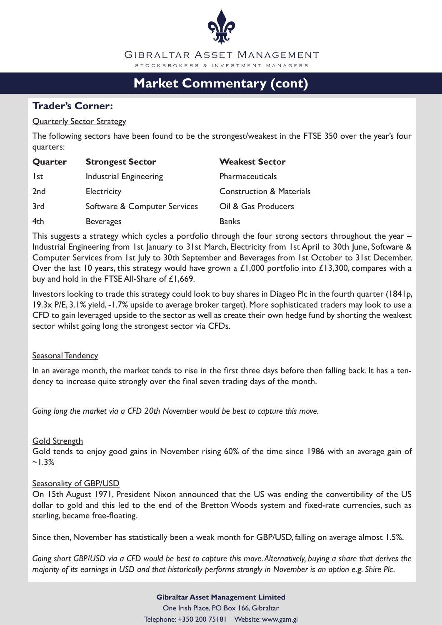

# **Market Commentary (cont)**

## **Trader's Corner:**

### Quarterly Sector Strategy

The following sectors have been found to be the strongest/weakest in the FTSE 350 over the year's four quarters:

| Quarter         | <b>Strongest Sector</b>      | <b>Weakest Sector</b>               |
|-----------------|------------------------------|-------------------------------------|
| l st            | Industrial Engineering       | Pharmaceuticals                     |
| 2 <sub>nd</sub> | Electricity                  | <b>Construction &amp; Materials</b> |
| 3rd             | Software & Computer Services | Oil & Gas Producers                 |
| 4th             | <b>Beverages</b>             | <b>Banks</b>                        |

This suggests a strategy which cycles a portfolio through the four strong sectors throughout the year – Industrial Engineering from 1st January to 31st March, Electricity from 1st April to 30th June, Software & Computer Services from 1st July to 30th September and Beverages from 1st October to 31st December. Over the last 10 years, this strategy would have grown a £1,000 portfolio into £13,300, compares with a buy and hold in the FTSE All-Share of £1,669.

Investors looking to trade this strategy could look to buy shares in Diageo Plc in the fourth quarter (1841p, 19.3x P/E, 3.1% yield, -1.7% upside to average broker target). More sophisticated traders may look to use a CFD to gain leveraged upside to the sector as well as create their own hedge fund by shorting the weakest sector whilst going long the strongest sector via CFDs.

### Seasonal Tendency

In an average month, the market tends to rise in the first three days before then falling back. It has a tendency to increase quite strongly over the final seven trading days of the month.

*Going long the market via a CFD 20th November would be best to capture this move.*

### **Gold Strength**

Gold tends to enjoy good gains in November rising 60% of the time since 1986 with an average gain of  $~1.3\%$ 

### Seasonality of GBP/USD

On 15th August 1971, President Nixon announced that the US was ending the convertibility of the US dollar to gold and this led to the end of the Bretton Woods system and fixed-rate currencies, such as sterling, became free-floating.

Since then, November has statistically been a weak month for GBP/USD, falling on average almost 1.5%.

*Going short GBP/USD via a CFD would be best to capture this move. Alternatively, buying a share that derives the majority of its earnings in USD and that historically performs strongly in November is an option e.g. Shire Plc.*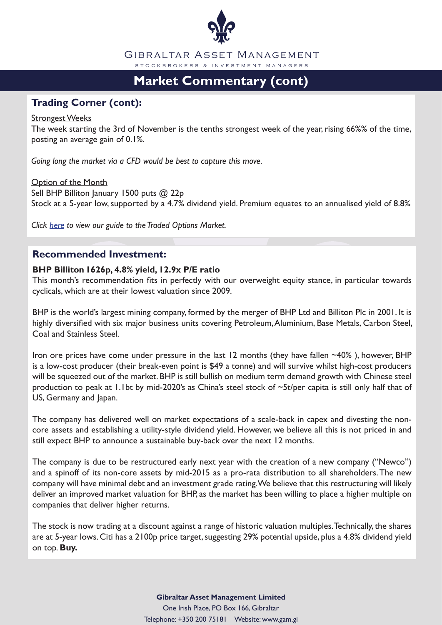

# **Market Commentary (cont)**

## **Trading Corner (cont):**

#### Strongest Weeks

The week starting the 3rd of November is the tenths strongest week of the year, rising 66%% of the time, posting an average gain of 0.1%.

*Going long the market via a CFD would be best to capture this move.*

**Option of the Month** Sell BHP Billiton January 1500 puts @ 22p Stock at a 5-year low, supported by a 4.7% dividend yield. Premium equates to an annualised yield of 8.8%

*Click here to view our guide to the Traded Options Market.*

## **Recommended Investment:**

### **BHP Billiton 1626p, 4.8% yield, 12.9x P/E ratio**

This month's recommendation fits in perfectly with our overweight equity stance, in particular towards cyclicals, which are at their lowest valuation since 2009.

BHP is the world's largest mining company, formed by the merger of BHP Ltd and Billiton Plc in 2001. It is highly diversified with six major business units covering Petroleum, Aluminium, Base Metals, Carbon Steel, Coal and Stainless Steel.

Iron ore prices have come under pressure in the last 12 months (they have fallen ~40%), however, BHP is a low-cost producer (their break-even point is \$49 a tonne) and will survive whilst high-cost producers will be squeezed out of the market. BHP is still bullish on medium term demand growth with Chinese steel production to peak at 1.1bt by mid-2020's as China's steel stock of ~5t/per capita is still only half that of US, Germany and Japan.

The company has delivered well on market expectations of a scale-back in capex and divesting the noncore assets and establishing a utility-style dividend yield. However, we believe all this is not priced in and still expect BHP to announce a sustainable buy-back over the next 12 months.

The company is due to be restructured early next year with the creation of a new company ("Newco") and a spinoff of its non-core assets by mid-2015 as a pro-rata distribution to all shareholders. The new company will have minimal debt and an investment grade rating. We believe that this restructuring will likely deliver an improved market valuation for BHP, as the market has been willing to place a higher multiple on companies that deliver higher returns.

The stock is now trading at a discount against a range of historic valuation multiples. Technically, the shares are at 5-year lows. Citi has a 2100p price target, suggesting 29% potential upside, plus a 4.8% dividend yield on top. **Buy.**

### **Gibraltar Asset Management Limited** One Irish Place, PO Box 166, Gibraltar Telephone: +350 200 75181 Website: www.gam.gi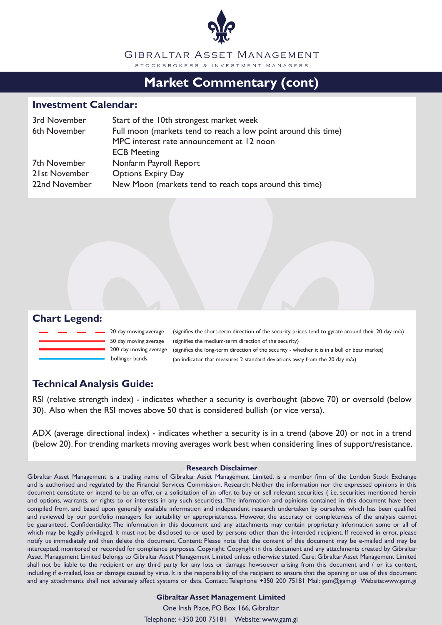

## **Market Commentary (cont)**

#### **Investment Calendar:**

| 3rd November  | Start of the 10th strongest market week                        |
|---------------|----------------------------------------------------------------|
| 6th November  | Full moon (markets tend to reach a low point around this time) |
|               | MPC interest rate announcement at 12 noon                      |
|               | <b>ECB Meeting</b>                                             |
| 7th November  | Nonfarm Payroll Report                                         |
| 21st November | <b>Options Expiry Day</b>                                      |
| 22nd November | New Moon (markets tend to reach tops around this time)         |

### **Chart Legend:**



20 day moving average 50 day moving average 200 day moving average

bollinger bands (an indicator that measures 2 standard deviations away from the 20 day m/a) (signifies the long-term direction of the security - whether it is in a bull or bear market) (signifies the medium-term direction of the security) (signifies the short-term direction of the security. prices tend to gyrate around their 20 day m/a)

## **Technical Analysis Guide:**

RSI (relative strength index) - indicates whether a security is overbought (above 70) or oversold (below 30). Also when the RSI moves above 50 that is considered bullish (or vice versa).

ADX (average directional index) - indicates whether a security is in a trend (above 20) or not in a trend (below 20). For trending markets moving averages work best when considering lines of support/resistance.

#### **Research Disclaimer**

Gibraltar Asset Management is a trading name of Gibraltar Asset Management Limited, is a member firm of the London Stock Exchange and is authorised and regulated by the Financial Services Commission. Research: Neither the information nor the expressed opinions in this document constitute or intend to be an offer, or a solicitation of an offer, to buy or sell relevant securities ( i.e. securities mentioned herein and options, warrants, or rights to or interests in any such securities). The information and opinions contained in this document have been compiled from, and based upon generally available information and independent research undertaken by ourselves which has been qualified and reviewed by our portfolio managers for suitability or appropriateness. However, the accuracy or completeness of the analysis cannot be guaranteed. Confidentiality: The information in this document and any attachments may contain proprietary information some or all of which may be legally privileged. It must not be disclosed to or used by persons other than the intended recipient. If received in error, please notify us immediately and then delete this document. Content: Please note that the content of this document may be e-mailed and may be intercepted, monitored or recorded for compliance purposes. Copyright: Copyright in this document and any attachments created by Gibraltar Asset Management Limited belongs to Gibraltar Asset Management Limited unless otherwise stated. Care: Gibraltar Asset Management Limited shall not be liable to the recipient or any third party for any loss or damage howsoever arising from this document and / or its content, including if e-mailed, loss or damage caused by virus. It is the responsibility of the recipient to ensure that the opening or use of this document and any attachments shall not adversely affect systems or data. Contact: Telephone +350 200 75181 Mail: gam@gam.gi Website:www.gam.gi

#### **Gibraltar Asset Management Limited**

One Irish Place, PO Box 166, Gibraltar

Telephone: +350 200 75181 Website: www.gam.gi